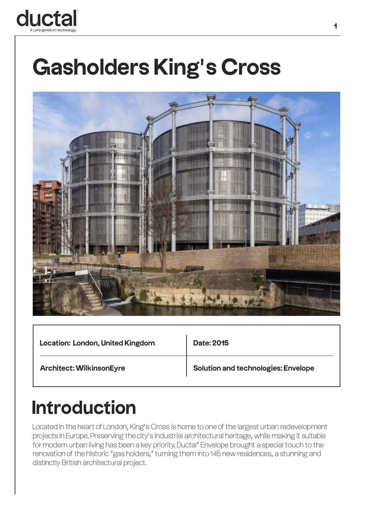

## **Gasholders King's Cross**



| <b>Location: London, United Kingdom</b> | <b>Date: 2015</b>                          |
|-----------------------------------------|--------------------------------------------|
| <b>Architect: WilkinsonEyre</b>         | <b>Solution and technologies: Envelope</b> |

## **Introduction**

Located in the heart of London, King's Cross is home to one of the largest urban redevelopment projects in Europe. Preserving the city's industrial architectural heritage, while making it suitable for modern urban living has been a key priority. Ductal® Envelope brought a special touch to the renovation of the historic "gas holders," turning them into 145 new residences, a stunning and distinctly British architectural project.